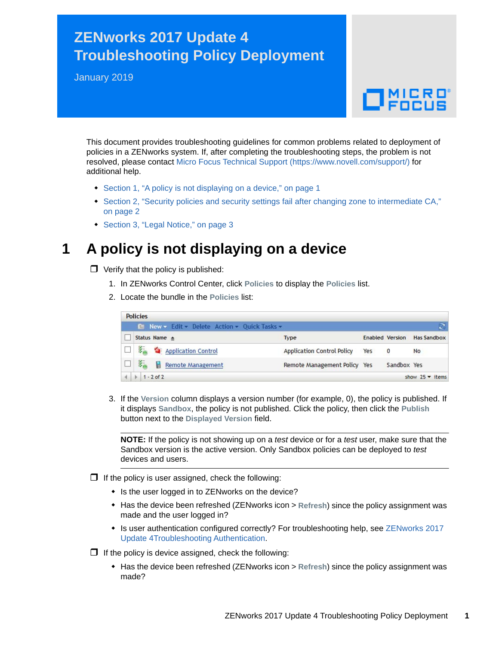## **ZENworks 2017 Update 4 Troubleshooting Policy Deployment**

January 2019

# $\Box$ MICRO

This document provides troubleshooting guidelines for common problems related to deployment of policies in a ZENworks system. If, after completing the troubleshooting steps, the problem is not resolved, please contact [Micro Focus Technical Support](https://www.novell.com/support/) (https://www.novell.com/support/) for additional help.

- [Section 1, "A policy is not displaying on a device," on page 1](#page-0-0)
- [Section 2, "Security policies and security settings fail after changing zone to intermediate CA,"](#page-1-0)  [on page 2](#page-1-0)
- [Section 3, "Legal Notice," on page 3](#page-2-0)

### <span id="page-0-0"></span>**1 A policy is not displaying on a device**

 $\Box$  Verify that the policy is published:

- 1. In ZENworks Control Center, click **Policies** to display the **Policies** list.
- 2. Locate the bundle in the **Policies** list:

| <b>Policies</b> |                                                     |                                   |     |                        |                        |
|-----------------|-----------------------------------------------------|-----------------------------------|-----|------------------------|------------------------|
|                 | <b>E</b> New v Edit v Delete Action v Quick Tasks v |                                   |     |                        |                        |
|                 | Status Name $\triangle$                             | <b>Type</b>                       |     | <b>Enabled Version</b> | <b>Has Sandbox</b>     |
|                 | 经商<br>Application Control                           | <b>Application Control Policy</b> | Yes | $\overline{0}$         | N <sub>o</sub>         |
|                 | 琴<br>Remote Management                              | Remote Management Policy Yes      |     | Sandbox Yes            |                        |
|                 | $1 - 2$ of 2                                        |                                   |     |                        | show $25 \times$ items |

3. If the **Version** column displays a version number (for example, 0), the policy is published. If it displays **Sandbox**, the policy is not published. Click the policy, then click the **Publish** button next to the **Displayed Version** field.

**NOTE:** If the policy is not showing up on a *test* device or for a *test* user, make sure that the Sandbox version is the active version. Only Sandbox policies can be deployed to *test* devices and users.

- $\Box$  If the policy is user assigned, check the following:
	- Is the user logged in to ZENworks on the device?
	- Has the device been refreshed (ZENworks icon > **Refresh**) since the policy assignment was made and the user logged in?
	- Is user authentication configured correctly? For troubleshooting help, see ZENworks 2017 Update 4Troubleshooting Authentication.
- $\Box$  If the policy is device assigned, check the following:
	- Has the device been refreshed (ZENworks icon > **Refresh**) since the policy assignment was made?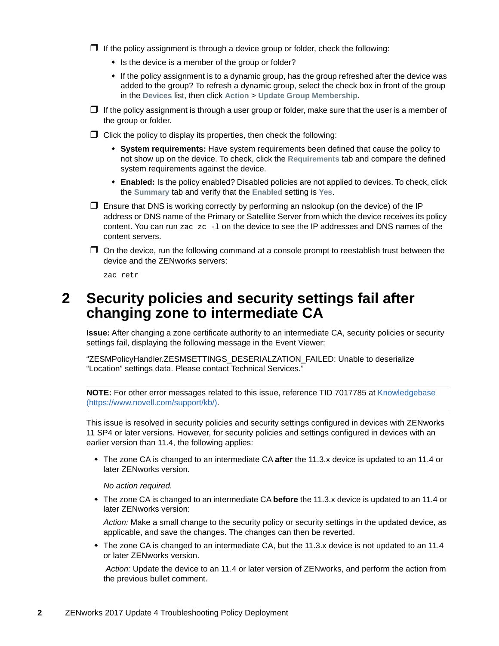$\Box$  If the policy assignment is through a device group or folder, check the following:

- Is the device is a member of the group or folder?
- If the policy assignment is to a dynamic group, has the group refreshed after the device was added to the group? To refresh a dynamic group, select the check box in front of the group in the **Devices** list, then click **Action** > **Update Group Membership**.
- $\Box$  If the policy assignment is through a user group or folder, make sure that the user is a member of the group or folder.
- $\Box$  Click the policy to display its properties, then check the following:
	- **System requirements:** Have system requirements been defined that cause the policy to not show up on the device. To check, click the **Requirements** tab and compare the defined system requirements against the device.
	- **Enabled:** Is the policy enabled? Disabled policies are not applied to devices. To check, click the **Summary** tab and verify that the **Enabled** setting is **Yes**.
- $\Box$  Ensure that DNS is working correctly by performing an nslookup (on the device) of the IP address or DNS name of the Primary or Satellite Server from which the device receives its policy content. You can run  $zac$   $zc$  -1 on the device to see the IP addresses and DNS names of the content servers.
- $\Box$  On the device, run the following command at a console prompt to reestablish trust between the device and the ZENworks servers:

zac retr

#### <span id="page-1-0"></span>**2 Security policies and security settings fail after changing zone to intermediate CA**

**Issue:** After changing a zone certificate authority to an intermediate CA, security policies or security settings fail, displaying the following message in the Event Viewer:

"ZESMPolicyHandler.ZESMSETTINGS\_DESERIALZATION\_FAILED: Unable to deserialize "Location" settings data. Please contact Technical Services."

**NOTE:** For other error messages related to this issue, reference TID 7017785 at [Knowledgebase](https://www.novell.com/support/kb/)  (https://www.novell.com/support/kb/).

This issue is resolved in security policies and security settings configured in devices with ZENworks 11 SP4 or later versions. However, for security policies and settings configured in devices with an earlier version than 11.4, the following applies:

 The zone CA is changed to an intermediate CA **after** the 11.3.x device is updated to an 11.4 or later ZENworks version.

*No action required.*

 The zone CA is changed to an intermediate CA **before** the 11.3.x device is updated to an 11.4 or later ZENworks version:

*Action:* Make a small change to the security policy or security settings in the updated device, as applicable, and save the changes. The changes can then be reverted.

• The zone CA is changed to an intermediate CA, but the 11.3.x device is not updated to an 11.4 or later ZENworks version.

*Action:* Update the device to an 11.4 or later version of ZENworks, and perform the action from the previous bullet comment.